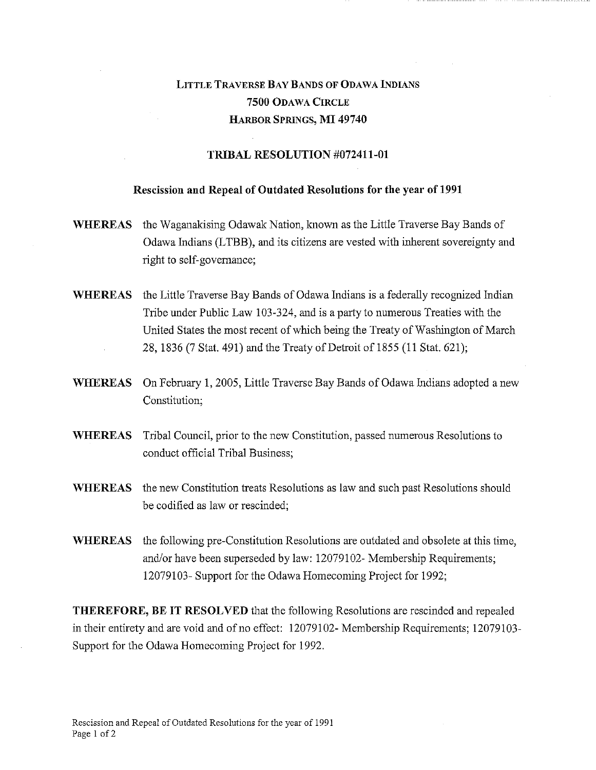## LITTLE TRAVERSE BAY BANDS OF ODAWA INDIANS 7500 ODAWA CIRCLE HARBOR SPRINGS, MI 49740

## TRIBAL RESOLUTION #072411-01

## Rescission and Repeal of Outdated Resolutions for the year of 1991

- WHEREAS the Waganakising Odawak Nation, known as the Little Traverse Bay Bands of Odawa Indians (LTBB), and its citizens are vested with inherent sovereignty and right to self-governance;
- WHEREAS the Little Traverse Bay Bands of Odawa Indians is a federally recognized Indian Tribe under Public Law 103-324, and is a party to numerous Treaties with the United States the most recent of which being the Treaty of Washington of March 28, 1836 (7 Stat. 491) and the Treaty of Detroit of 1855 (11 Stat. 621);
- WHEREAS On February 1, 2005, Little Traverse Bay Bands of Odawa Indians adopted a new Constitution;
- WHEREAS Tribal Council, prior to the new Constitution, passed numerous Resolutions to conduct official Tribal Business;
- WHEREAS the new Constitution treats Resolutions as law and such past Resolutions should be codified as law or rescinded;
- WHEREAS the following pre-Constitution Resolutions are outdated and obsolete at this time, and/or have been superseded by law: 12079102- Membership Requirements; 12079103- Support for the Odawa Homecoming Project for 1992;

THEREFORE, BE IT RESOLVED that the following Resolutions are rescinded and repealed in their entirety and are void and of no effect: 12079102- Membership Requirements; 12079103- Support for the Odawa Homecoming Project for 1992.